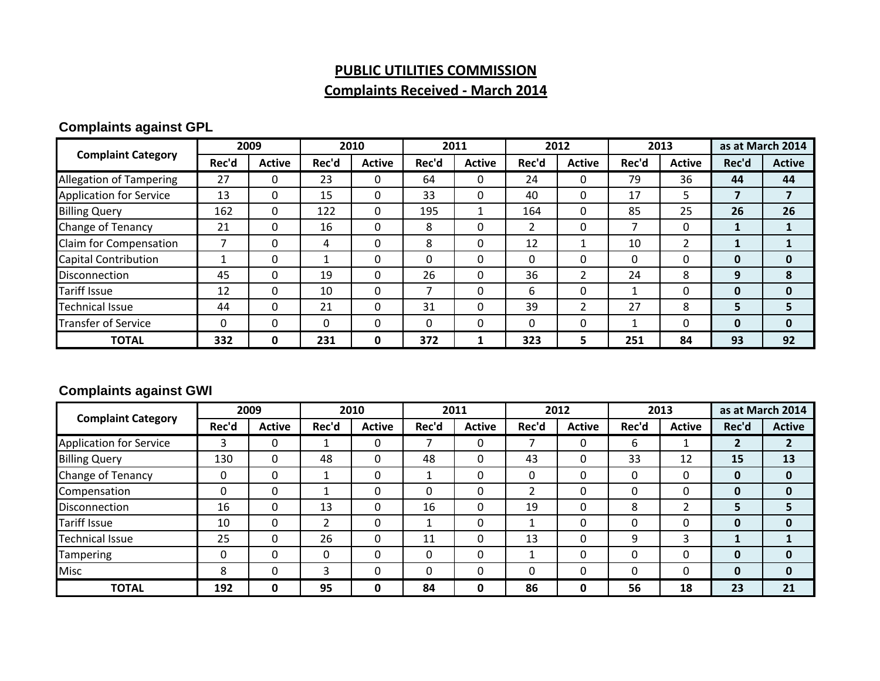### **PUBLIC UTILITIES COMMISSION Complaints Received ‐ March 2014**

### **Complaints against GPL**

| <b>Complaint Category</b>      | 2009  |               | 2010     |               | 2011  |               | 2012  |               | 2013  |               | as at March 2014 |               |
|--------------------------------|-------|---------------|----------|---------------|-------|---------------|-------|---------------|-------|---------------|------------------|---------------|
|                                | Rec'd | <b>Active</b> | Rec'd    | <b>Active</b> | Rec'd | <b>Active</b> | Rec'd | <b>Active</b> | Rec'd | <b>Active</b> | Rec'd            | <b>Active</b> |
| <b>Allegation of Tampering</b> | 27    | 0             | 23       | 0             | 64    |               | 24    |               | 79    | 36            | 44               | 44            |
| <b>Application for Service</b> | 13    | 0             | 15       | $\Omega$      | 33    | $\Omega$      | 40    | 0             | 17    | 5.            |                  |               |
| <b>Billing Query</b>           | 162   | 0             | 122      | $\Omega$      | 195   |               | 164   |               | 85    | 25            | 26               | 26            |
| Change of Tenancy              | 21    | 0             | 16       | $\Omega$      | 8     | $\Omega$      |       | 0             |       | 0             |                  |               |
| Claim for Compensation         |       | $\Omega$      | 4        | 0             | 8     |               | 12    |               | 10    | 2             |                  |               |
| <b>Capital Contribution</b>    |       | 0             | 1        | $\Omega$      | 0     | $\Omega$      |       | 0             | 0     | 0             | 0                | $\bf{0}$      |
| Disconnection                  | 45    | $\Omega$      | 19       | 0             | 26    |               | 36    | 2             | 24    | 8             | 9                | 8             |
| <b>Tariff Issue</b>            | 12    | $\Omega$      | 10       | $\Omega$      |       | $\Omega$      | 6     | 0             |       | 0             | 0                | $\bf{0}$      |
| <b>Technical Issue</b>         | 44    | 0             | 21       | $\Omega$      | 31    | $\Omega$      | 39    | ำ             | 27    | 8             | 5                |               |
| <b>Transfer of Service</b>     | 0     | 0             | $\Omega$ | 0             | 0     |               |       | 0             |       | 0             | 0                | 0             |
| <b>TOTAL</b>                   | 332   | 0             | 231      | 0             | 372   | 1             | 323   | 5.            | 251   | 84            | 93               | 92            |

### **Complaints against GWI**

| <b>Complaint Category</b>      | 2009        |               | 2010  |               | 2011     |               | 2012  |               | 2013  |               | as at March 2014 |               |
|--------------------------------|-------------|---------------|-------|---------------|----------|---------------|-------|---------------|-------|---------------|------------------|---------------|
|                                | Rec'd       | <b>Active</b> | Rec'd | <b>Active</b> | Rec'd    | <b>Active</b> | Rec'd | <b>Active</b> | Rec'd | <b>Active</b> | Rec'd            | <b>Active</b> |
| <b>Application for Service</b> | 3           | 0             |       | 0             |          |               |       | 0             | 6     |               |                  |               |
| <b>Billing Query</b>           | 130         | $\Omega$      | 48    | 0             | 48       |               | 43    | 0             | 33    | 12            | 15               | 13            |
| Change of Tenancy              | $\mathbf 0$ | 0             |       | 0             |          |               |       |               | 0     | 0             | 0                | 0             |
| Compensation                   | 0           | $\Omega$      |       | 0             | $\Omega$ |               |       | 0             | 0     | 0             | 0                | 0             |
| Disconnection                  | 16          | $\Omega$      | 13    | 0             | 16       | $\Omega$      | 19    | 0             | 8     |               | 5                |               |
| Tariff Issue                   | 10          | 0             | າ     | 0             |          | $\Omega$      |       | 0             | 0     | 0             | 0                | $\bf{0}$      |
| <b>Technical Issue</b>         | 25          | $\mathbf{0}$  | 26    | 0             | 11       |               | 13    | 0             | 9     | 3             |                  |               |
| <b>Tampering</b>               | 0           | 0             | 0     | 0             | $\Omega$ |               |       | 0             | 0     | 0             | 0                | $\bf{0}$      |
| <b>Misc</b>                    | 8           | 0             | 3     | 0             | $\Omega$ |               |       | 0             | 0     | 0             | 0                | 0             |
| <b>TOTAL</b>                   | 192         | 0             | 95    | 0             | 84       | 0             | 86    | 0             | 56    | 18            | 23               | 21            |